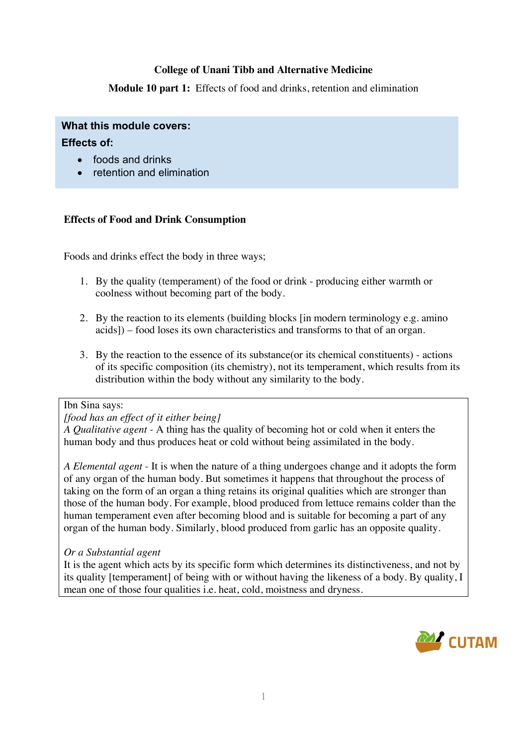## **College of Unani Tibb and Alternative Medicine**

**Module 10 part 1:** Effects of food and drinks, retention and elimination

# **What this module covers:**

## **Effects of:**

- foods and drinks
- retention and elimination

## **Effects of Food and Drink Consumption**

Foods and drinks effect the body in three ways;

- 1. By the quality (temperament) of the food or drink producing either warmth or coolness without becoming part of the body.
- 2. By the reaction to its elements (building blocks [in modern terminology e.g. amino acids]) – food loses its own characteristics and transforms to that of an organ.
- 3. By the reaction to the essence of its substance(or its chemical constituents) actions of its specific composition (its chemistry), not its temperament, which results from its distribution within the body without any similarity to the body.

# Ibn Sina says:

#### *[food has an effect of it either being]*

*A Qualitative agent -* A thing has the quality of becoming hot or cold when it enters the human body and thus produces heat or cold without being assimilated in the body.

*A Elemental agent -* It is when the nature of a thing undergoes change and it adopts the form of any organ of the human body. But sometimes it happens that throughout the process of taking on the form of an organ a thing retains its original qualities which are stronger than those of the human body. For example, blood produced from lettuce remains colder than the human temperament even after becoming blood and is suitable for becoming a part of any organ of the human body. Similarly, blood produced from garlic has an opposite quality.

## *Or a Substantial agent*

It is the agent which acts by its specific form which determines its distinctiveness, and not by its quality [temperament] of being with or without having the likeness of a body. By quality, I mean one of those four qualities i.e. heat, cold, moistness and dryness.

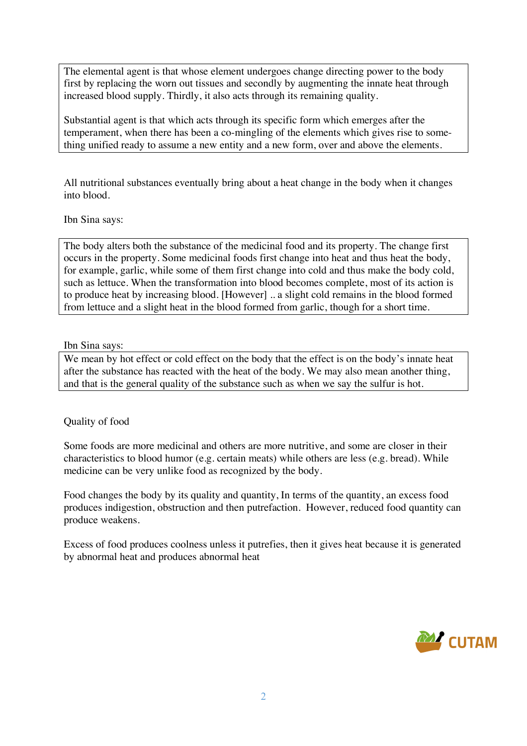The elemental agent is that whose element undergoes change directing power to the body first by replacing the worn out tissues and secondly by augmenting the innate heat through increased blood supply. Thirdly, it also acts through its remaining quality.

Substantial agent is that which acts through its specific form which emerges after the temperament, when there has been a co-mingling of the elements which gives rise to something unified ready to assume a new entity and a new form, over and above the elements.

All nutritional substances eventually bring about a heat change in the body when it changes into blood.

Ibn Sina says:

The body alters both the substance of the medicinal food and its property. The change first occurs in the property. Some medicinal foods first change into heat and thus heat the body, for example, garlic, while some of them first change into cold and thus make the body cold, such as lettuce. When the transformation into blood becomes complete, most of its action is to produce heat by increasing blood. [However] .. a slight cold remains in the blood formed from lettuce and a slight heat in the blood formed from garlic, though for a short time.

#### Ibn Sina says:

We mean by hot effect or cold effect on the body that the effect is on the body's innate heat after the substance has reacted with the heat of the body. We may also mean another thing, and that is the general quality of the substance such as when we say the sulfur is hot.

## Quality of food

Some foods are more medicinal and others are more nutritive, and some are closer in their characteristics to blood humor (e.g. certain meats) while others are less (e.g. bread). While medicine can be very unlike food as recognized by the body.

Food changes the body by its quality and quantity, In terms of the quantity, an excess food produces indigestion, obstruction and then putrefaction. However, reduced food quantity can produce weakens.

Excess of food produces coolness unless it putrefies, then it gives heat because it is generated by abnormal heat and produces abnormal heat

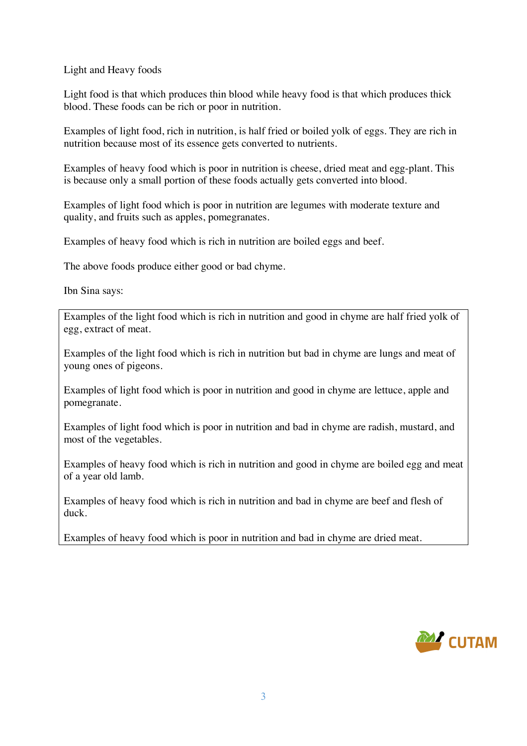Light and Heavy foods

Light food is that which produces thin blood while heavy food is that which produces thick blood. These foods can be rich or poor in nutrition.

Examples of light food, rich in nutrition, is half fried or boiled yolk of eggs. They are rich in nutrition because most of its essence gets converted to nutrients.

Examples of heavy food which is poor in nutrition is cheese, dried meat and egg-plant. This is because only a small portion of these foods actually gets converted into blood.

Examples of light food which is poor in nutrition are legumes with moderate texture and quality, and fruits such as apples, pomegranates.

Examples of heavy food which is rich in nutrition are boiled eggs and beef.

The above foods produce either good or bad chyme.

Ibn Sina says:

Examples of the light food which is rich in nutrition and good in chyme are half fried yolk of egg, extract of meat.

Examples of the light food which is rich in nutrition but bad in chyme are lungs and meat of young ones of pigeons.

Examples of light food which is poor in nutrition and good in chyme are lettuce, apple and pomegranate.

Examples of light food which is poor in nutrition and bad in chyme are radish, mustard, and most of the vegetables.

Examples of heavy food which is rich in nutrition and good in chyme are boiled egg and meat of a year old lamb.

Examples of heavy food which is rich in nutrition and bad in chyme are beef and flesh of duck.

Examples of heavy food which is poor in nutrition and bad in chyme are dried meat.